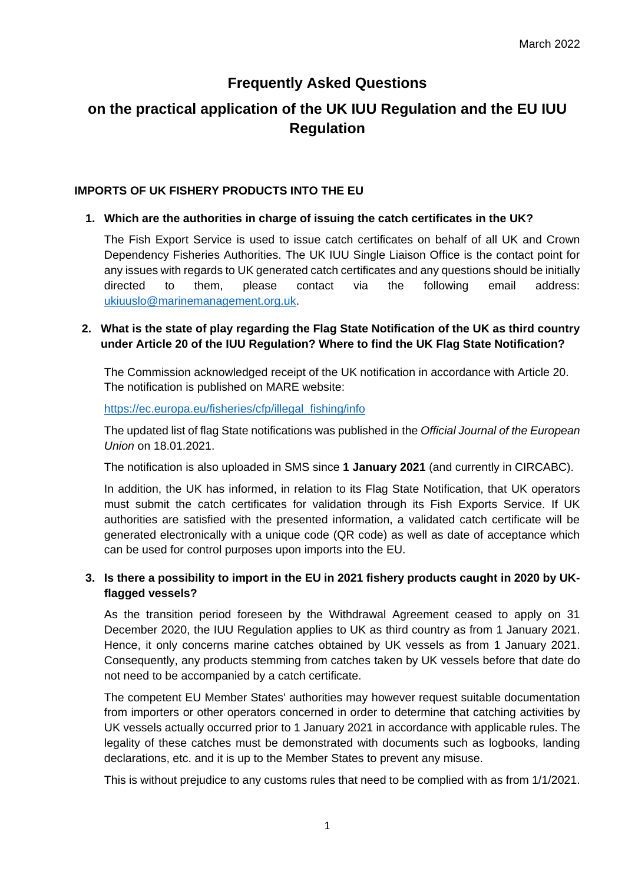# **Frequently Asked Questions**

# **on the practical application of the UK IUU Regulation and the EU IUU Regulation**

#### **IMPORTS OF UK FISHERY PRODUCTS INTO THE EU**

# **1. Which are the authorities in charge of issuing the catch certificates in the UK?**

The Fish Export Service is used to issue catch certificates on behalf of all UK and Crown Dependency Fisheries Authorities. The UK IUU Single Liaison Office is the contact point for any issues with regards to UK generated catch certificates and any questions should be initially directed to them, please contact via the following email address: ukiuuslo@marinemanagement.org.uk.

# **2. What is the state of play regarding the Flag State Notification of the UK as third country under Article 20 of the IUU Regulation? Where to find the UK Flag State Notification?**

The Commission acknowledged receipt of the UK notification in accordance with Article 20. The notification is published on MARE website:

https://ec.europa.eu/fisheries/cfp/illegal\_fishing/info

The updated list of flag State notifications was published in the *Official Journal of the European Union* on 18.01.2021.

The notification is also uploaded in SMS since **1 January 2021** (and currently in CIRCABC).

In addition, the UK has informed, in relation to its Flag State Notification, that UK operators must submit the catch certificates for validation through its Fish Exports Service. If UK authorities are satisfied with the presented information, a validated catch certificate will be generated electronically with a unique code (QR code) as well as date of acceptance which can be used for control purposes upon imports into the EU.

# **3. Is there a possibility to import in the EU in 2021 fishery products caught in 2020 by UKflagged vessels?**

As the transition period foreseen by the Withdrawal Agreement ceased to apply on 31 December 2020, the IUU Regulation applies to UK as third country as from 1 January 2021. Hence, it only concerns marine catches obtained by UK vessels as from 1 January 2021. Consequently, any products stemming from catches taken by UK vessels before that date do not need to be accompanied by a catch certificate.

The competent EU Member States' authorities may however request suitable documentation from importers or other operators concerned in order to determine that catching activities by UK vessels actually occurred prior to 1 January 2021 in accordance with applicable rules. The legality of these catches must be demonstrated with documents such as logbooks, landing declarations, etc. and it is up to the Member States to prevent any misuse.

This is without prejudice to any customs rules that need to be complied with as from 1/1/2021.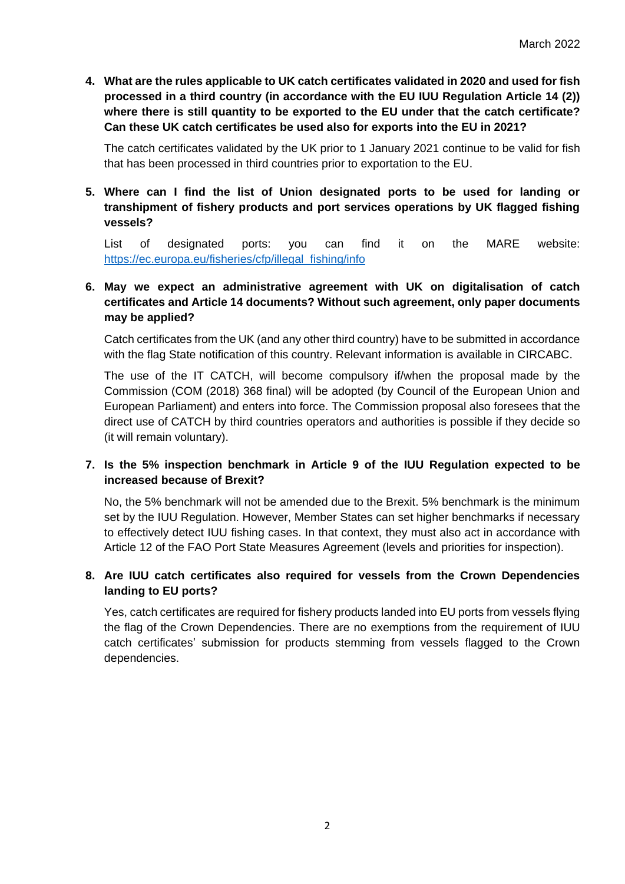**4. What are the rules applicable to UK catch certificates validated in 2020 and used for fish processed in a third country (in accordance with the EU IUU Regulation Article 14 (2)) where there is still quantity to be exported to the EU under that the catch certificate? Can these UK catch certificates be used also for exports into the EU in 2021?** 

The catch certificates validated by the UK prior to 1 January 2021 continue to be valid for fish that has been processed in third countries prior to exportation to the EU.

**5. Where can I find the list of Union designated ports to be used for landing or transhipment of fishery products and port services operations by UK flagged fishing vessels?**

List of designated ports: you can find it on the MARE website: https://ec.europa.eu/fisheries/cfp/illegal\_fishing/info

# **6. May we expect an administrative agreement with UK on digitalisation of catch certificates and Article 14 documents? Without such agreement, only paper documents may be applied?**

Catch certificates from the UK (and any other third country) have to be submitted in accordance with the flag State notification of this country. Relevant information is available in CIRCABC.

The use of the IT CATCH, will become compulsory if/when the proposal made by the Commission (COM (2018) 368 final) will be adopted (by Council of the European Union and European Parliament) and enters into force. The Commission proposal also foresees that the direct use of CATCH by third countries operators and authorities is possible if they decide so (it will remain voluntary).

#### **7. Is the 5% inspection benchmark in Article 9 of the IUU Regulation expected to be increased because of Brexit?**

No, the 5% benchmark will not be amended due to the Brexit. 5% benchmark is the minimum set by the IUU Regulation. However, Member States can set higher benchmarks if necessary to effectively detect IUU fishing cases. In that context, they must also act in accordance with Article 12 of the FAO Port State Measures Agreement (levels and priorities for inspection).

#### **8. Are IUU catch certificates also required for vessels from the Crown Dependencies landing to EU ports?**

Yes, catch certificates are required for fishery products landed into EU ports from vessels flying the flag of the Crown Dependencies. There are no exemptions from the requirement of IUU catch certificates' submission for products stemming from vessels flagged to the Crown dependencies.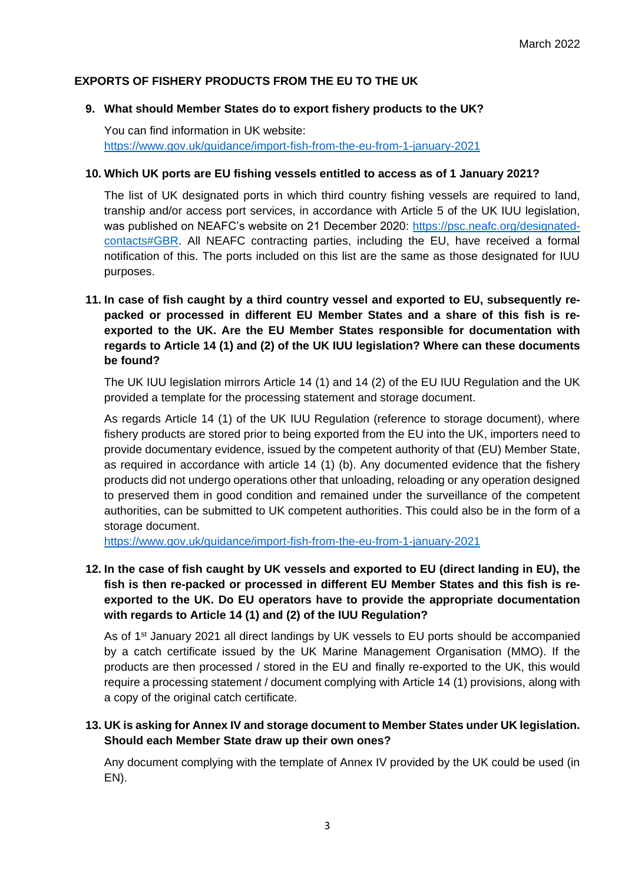#### **EXPORTS OF FISHERY PRODUCTS FROM THE EU TO THE UK**

#### **9. What should Member States do to export fishery products to the UK?**

You can find information in UK website: https://www.gov.uk/guidance/import-fish-from-the-eu-from-1-january-2021

#### **10. Which UK ports are EU fishing vessels entitled to access as of 1 January 2021?**

The list of UK designated ports in which third country fishing vessels are required to land, tranship and/or access port services, in accordance with Article 5 of the UK IUU legislation, was published on NEAFC's website on 21 December 2020: https://psc.neafc.org/designatedcontacts#GBR. All NEAFC contracting parties, including the EU, have received a formal notification of this. The ports included on this list are the same as those designated for IUU purposes.

# **11. In case of fish caught by a third country vessel and exported to EU, subsequently repacked or processed in different EU Member States and a share of this fish is reexported to the UK. Are the EU Member States responsible for documentation with regards to Article 14 (1) and (2) of the UK IUU legislation? Where can these documents be found?**

The UK IUU legislation mirrors Article 14 (1) and 14 (2) of the EU IUU Regulation and the UK provided a template for the processing statement and storage document.

As regards Article 14 (1) of the UK IUU Regulation (reference to storage document), where fishery products are stored prior to being exported from the EU into the UK, importers need to provide documentary evidence, issued by the competent authority of that (EU) Member State, as required in accordance with article 14 (1) (b). Any documented evidence that the fishery products did not undergo operations other that unloading, reloading or any operation designed to preserved them in good condition and remained under the surveillance of the competent authorities, can be submitted to UK competent authorities. This could also be in the form of a storage document.

https://www.gov.uk/guidance/import-fish-from-the-eu-from-1-january-2021

# **12. In the case of fish caught by UK vessels and exported to EU (direct landing in EU), the fish is then re-packed or processed in different EU Member States and this fish is reexported to the UK. Do EU operators have to provide the appropriate documentation with regards to Article 14 (1) and (2) of the IUU Regulation?**

As of 1<sup>st</sup> January 2021 all direct landings by UK vessels to EU ports should be accompanied by a catch certificate issued by the UK Marine Management Organisation (MMO). If the products are then processed / stored in the EU and finally re-exported to the UK, this would require a processing statement / document complying with Article 14 (1) provisions, along with a copy of the original catch certificate.

#### **13. UK is asking for Annex IV and storage document to Member States under UK legislation. Should each Member State draw up their own ones?**

Any document complying with the template of Annex IV provided by the UK could be used (in EN).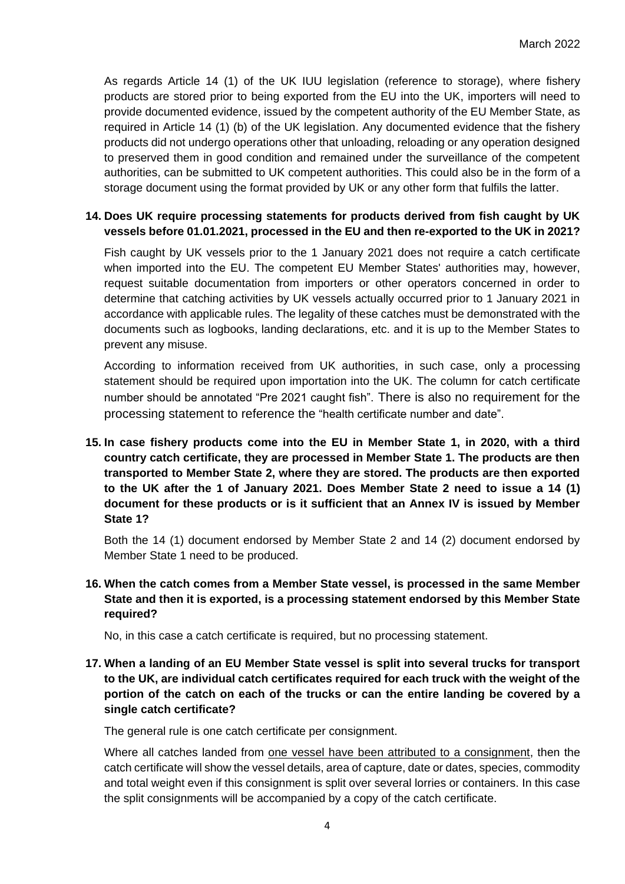As regards Article 14 (1) of the UK IUU legislation (reference to storage), where fishery products are stored prior to being exported from the EU into the UK, importers will need to provide documented evidence, issued by the competent authority of the EU Member State, as required in Article 14 (1) (b) of the UK legislation. Any documented evidence that the fishery products did not undergo operations other that unloading, reloading or any operation designed to preserved them in good condition and remained under the surveillance of the competent authorities, can be submitted to UK competent authorities. This could also be in the form of a storage document using the format provided by UK or any other form that fulfils the latter.

#### **14. Does UK require processing statements for products derived from fish caught by UK vessels before 01.01.2021, processed in the EU and then re-exported to the UK in 2021?**

Fish caught by UK vessels prior to the 1 January 2021 does not require a catch certificate when imported into the EU. The competent EU Member States' authorities may, however, request suitable documentation from importers or other operators concerned in order to determine that catching activities by UK vessels actually occurred prior to 1 January 2021 in accordance with applicable rules. The legality of these catches must be demonstrated with the documents such as logbooks, landing declarations, etc. and it is up to the Member States to prevent any misuse.

According to information received from UK authorities, in such case, only a processing statement should be required upon importation into the UK. The column for catch certificate number should be annotated "Pre 2021 caught fish". There is also no requirement for the processing statement to reference the "health certificate number and date".

**15. In case fishery products come into the EU in Member State 1, in 2020, with a third country catch certificate, they are processed in Member State 1. The products are then transported to Member State 2, where they are stored. The products are then exported to the UK after the 1 of January 2021. Does Member State 2 need to issue a 14 (1) document for these products or is it sufficient that an Annex IV is issued by Member State 1?**

Both the 14 (1) document endorsed by Member State 2 and 14 (2) document endorsed by Member State 1 need to be produced.

#### **16. When the catch comes from a Member State vessel, is processed in the same Member State and then it is exported, is a processing statement endorsed by this Member State required?**

No, in this case a catch certificate is required, but no processing statement.

# **17. When a landing of an EU Member State vessel is split into several trucks for transport to the UK, are individual catch certificates required for each truck with the weight of the portion of the catch on each of the trucks or can the entire landing be covered by a single catch certificate?**

The general rule is one catch certificate per consignment.

Where all catches landed from one vessel have been attributed to a consignment, then the catch certificate will show the vessel details, area of capture, date or dates, species, commodity and total weight even if this consignment is split over several lorries or containers. In this case the split consignments will be accompanied by a copy of the catch certificate.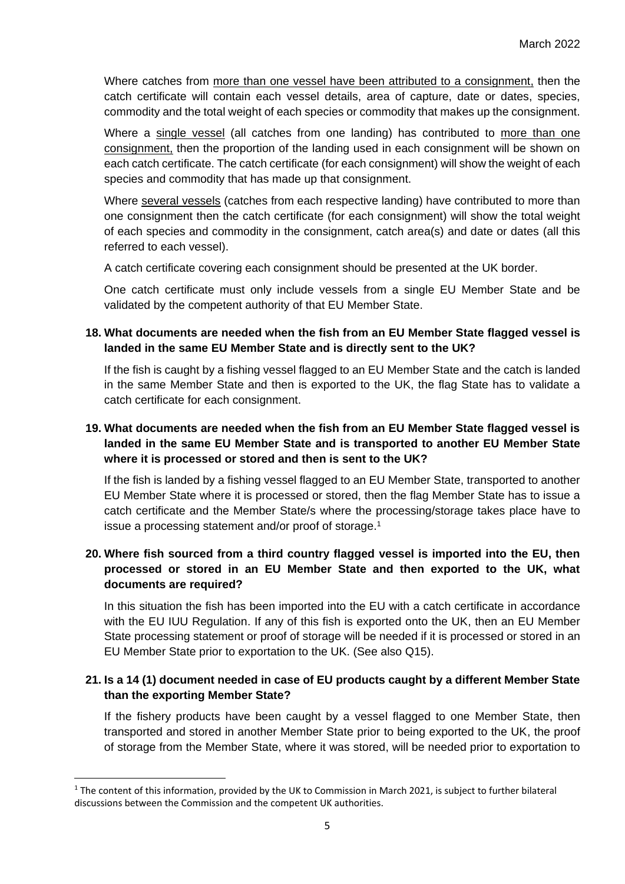Where catches from more than one vessel have been attributed to a consignment, then the catch certificate will contain each vessel details, area of capture, date or dates, species, commodity and the total weight of each species or commodity that makes up the consignment.

Where a single vessel (all catches from one landing) has contributed to more than one consignment, then the proportion of the landing used in each consignment will be shown on each catch certificate. The catch certificate (for each consignment) will show the weight of each species and commodity that has made up that consignment.

Where several vessels (catches from each respective landing) have contributed to more than one consignment then the catch certificate (for each consignment) will show the total weight of each species and commodity in the consignment, catch area(s) and date or dates (all this referred to each vessel).

A catch certificate covering each consignment should be presented at the UK border.

One catch certificate must only include vessels from a single EU Member State and be validated by the competent authority of that EU Member State.

#### **18. What documents are needed when the fish from an EU Member State flagged vessel is landed in the same EU Member State and is directly sent to the UK?**

If the fish is caught by a fishing vessel flagged to an EU Member State and the catch is landed in the same Member State and then is exported to the UK, the flag State has to validate a catch certificate for each consignment.

# **19. What documents are needed when the fish from an EU Member State flagged vessel is landed in the same EU Member State and is transported to another EU Member State where it is processed or stored and then is sent to the UK?**

If the fish is landed by a fishing vessel flagged to an EU Member State, transported to another EU Member State where it is processed or stored, then the flag Member State has to issue a catch certificate and the Member State/s where the processing/storage takes place have to issue a processing statement and/or proof of storage. 1

# **20. Where fish sourced from a third country flagged vessel is imported into the EU, then processed or stored in an EU Member State and then exported to the UK, what documents are required?**

In this situation the fish has been imported into the EU with a catch certificate in accordance with the EU IUU Regulation. If any of this fish is exported onto the UK, then an EU Member State processing statement or proof of storage will be needed if it is processed or stored in an EU Member State prior to exportation to the UK. (See also Q15).

#### **21. Is a 14 (1) document needed in case of EU products caught by a different Member State than the exporting Member State?**

If the fishery products have been caught by a vessel flagged to one Member State, then transported and stored in another Member State prior to being exported to the UK, the proof of storage from the Member State, where it was stored, will be needed prior to exportation to

**.** 

<sup>&</sup>lt;sup>1</sup> The content of this information, provided by the UK to Commission in March 2021, is subject to further bilateral discussions between the Commission and the competent UK authorities.